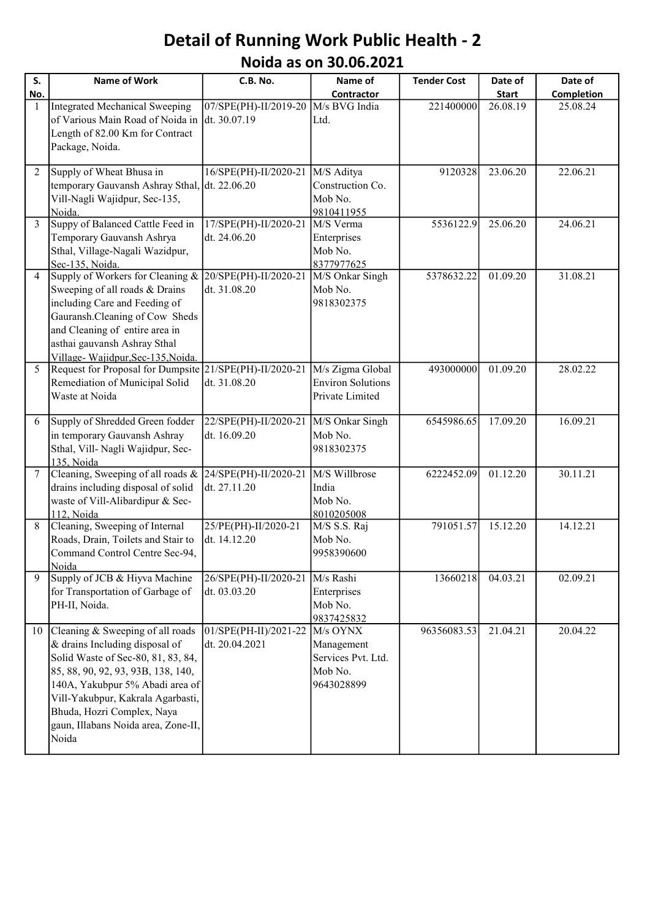## Detail of Running Work Public Health - 2 Noida as on 30.06.2021

| S.             | Name of Work                                                                                                                                                                                                                                                                                         | C.B. No.                                                    | Name of                                                               | <b>Tender Cost</b> | Date of      | Date of           |
|----------------|------------------------------------------------------------------------------------------------------------------------------------------------------------------------------------------------------------------------------------------------------------------------------------------------------|-------------------------------------------------------------|-----------------------------------------------------------------------|--------------------|--------------|-------------------|
| No.            |                                                                                                                                                                                                                                                                                                      |                                                             | <b>Contractor</b>                                                     |                    | <b>Start</b> | <b>Completion</b> |
| 1              | Integrated Mechanical Sweeping<br>of Various Main Road of Noida in<br>Length of 82.00 Km for Contract<br>Package, Noida.                                                                                                                                                                             | 07/SPE(PH)-II/2019-20<br>dt. 30.07.19                       | M/s BVG India<br>Ltd.                                                 | 221400000          | 26.08.19     | 25.08.24          |
| 2              | Supply of Wheat Bhusa in<br>temporary Gauvansh Ashray Sthal, dt. 22.06.20<br>Vill-Nagli Wajidpur, Sec-135,<br>Noida.                                                                                                                                                                                 | 16/SPE(PH)-II/2020-21                                       | M/S Aditya<br>Construction Co.<br>Mob No.<br>9810411955               | 9120328            | 23.06.20     | 22.06.21          |
| $\overline{3}$ | Suppy of Balanced Cattle Feed in<br>Temporary Gauvansh Ashrya<br>Sthal, Village-Nagali Wazidpur,<br>Sec-135, Noida.                                                                                                                                                                                  | 17/SPE(PH)-II/2020-21<br>dt. 24.06.20                       | M/S Verma<br>Enterprises<br>Mob No.<br>8377977625                     | 5536122.9          | 25.06.20     | 24.06.21          |
| 4              | Supply of Workers for Cleaning &<br>Sweeping of all roads & Drains<br>including Care and Feeding of<br>Gauransh.Cleaning of Cow Sheds<br>and Cleaning of entire area in<br>asthai gauvansh Ashray Sthal<br>Village-Wajidpur, Sec-135, Noida.                                                         | 20/SPE(PH)-II/2020-21<br>dt. 31.08.20                       | M/S Onkar Singh<br>Mob No.<br>9818302375                              | 5378632.22         | 01.09.20     | 31.08.21          |
| 5              | Request for Proposal for Dumpsite 21/SPE(PH)-II/2020-21  M/s Zigma Global<br>Remediation of Municipal Solid<br>Waste at Noida                                                                                                                                                                        | dt. 31.08.20                                                | <b>Environ Solutions</b><br>Private Limited                           | 493000000          | 01.09.20     | 28.02.22          |
| 6              | Supply of Shredded Green fodder<br>in temporary Gauvansh Ashray<br>Sthal, Vill- Nagli Wajidpur, Sec-<br>135, Noida                                                                                                                                                                                   | $22/SPE(PH) - II/2020 - 21$ M/S Onkar Singh<br>dt. 16.09.20 | Mob No.<br>9818302375                                                 | 6545986.65         | 17.09.20     | 16.09.21          |
| 7              | Cleaning, Sweeping of all roads &<br>drains including disposal of solid<br>waste of Vill-Alibardipur & Sec-<br>112, Noida                                                                                                                                                                            | 24/SPE(PH)-II/2020-21<br>dt. 27.11.20                       | M/S Willbrose<br>India<br>Mob No.<br>8010205008                       | 6222452.09         | 01.12.20     | 30.11.21          |
| 8              | Cleaning, Sweeping of Internal<br>Roads, Drain, Toilets and Stair to<br>Command Control Centre Sec-94,<br>Noida                                                                                                                                                                                      | 25/PE(PH)-II/2020-21<br>dt. 14.12.20                        | M/S S.S. Raj<br>Mob No.<br>9958390600                                 | 791051.57          | 15.12.20     | 14.12.21          |
| 9              | Supply of JCB & Hiyva Machine<br>for Transportation of Garbage of<br>PH-II, Noida.                                                                                                                                                                                                                   | 26/SPE(PH)-II/2020-21<br>dt. 03.03.20                       | M/s Rashi<br>Enterprises<br>Mob No.<br>9837425832                     | 13660218           | 04.03.21     | 02.09.21          |
| 10             | Cleaning & Sweeping of all roads<br>& drains Including disposal of<br>Solid Waste of Sec-80, 81, 83, 84,<br>85, 88, 90, 92, 93, 93B, 138, 140,<br>140A, Yakubpur 5% Abadi area of<br>Vill-Yakubpur, Kakrala Agarbasti,<br>Bhuda, Hozri Complex, Naya<br>gaun, Illabans Noida area, Zone-II,<br>Noida | 01/SPE(PH-II)/2021-22<br>dt. 20.04.2021                     | M/s OYNX<br>Management<br>Services Pvt. Ltd.<br>Mob No.<br>9643028899 | 96356083.53        | 21.04.21     | 20.04.22          |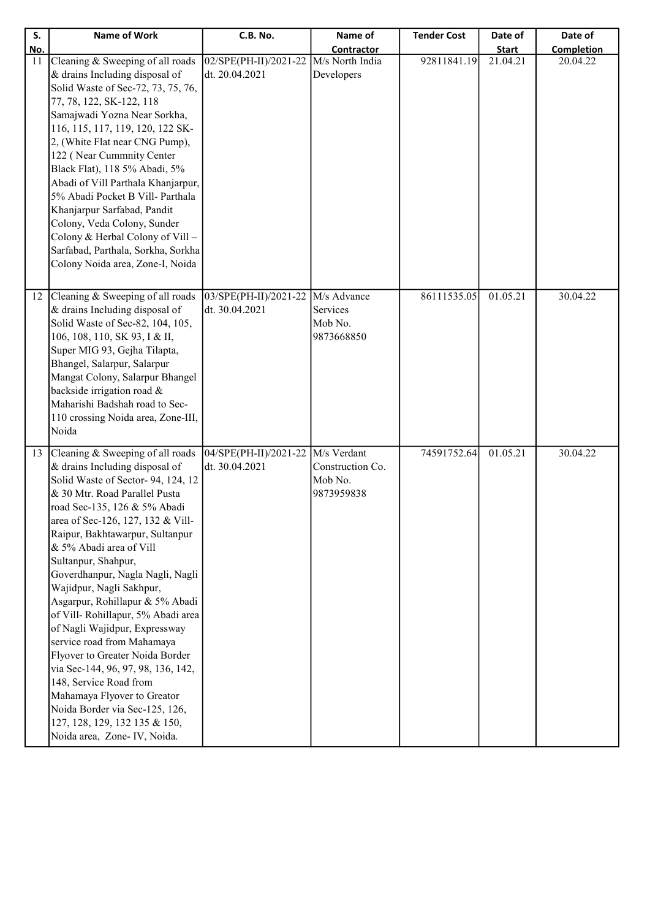| S.  | <b>Name of Work</b>                                                                                      | C.B. No.                                              | Name of                       | <b>Tender Cost</b> | Date of      | Date of           |
|-----|----------------------------------------------------------------------------------------------------------|-------------------------------------------------------|-------------------------------|--------------------|--------------|-------------------|
| No. |                                                                                                          |                                                       | Contractor                    |                    | <b>Start</b> | <b>Completion</b> |
| 11  | Cleaning & Sweeping of all roads<br>& drains Including disposal of<br>Solid Waste of Sec-72, 73, 75, 76, | 02/SPE(PH-II)/2021-22<br>dt. 20.04.2021               | M/s North India<br>Developers | 92811841.19        | 21.04.21     | 20.04.22          |
|     | 77, 78, 122, SK-122, 118<br>Samajwadi Yozna Near Sorkha,                                                 |                                                       |                               |                    |              |                   |
|     | 116, 115, 117, 119, 120, 122 SK-<br>2, (White Flat near CNG Pump),                                       |                                                       |                               |                    |              |                   |
|     | 122 (Near Cummnity Center<br>Black Flat), 118 5% Abadi, 5%                                               |                                                       |                               |                    |              |                   |
|     | Abadi of Vill Parthala Khanjarpur,<br>5% Abadi Pocket B Vill- Parthala<br>Khanjarpur Sarfabad, Pandit    |                                                       |                               |                    |              |                   |
|     | Colony, Veda Colony, Sunder<br>Colony & Herbal Colony of Vill-                                           |                                                       |                               |                    |              |                   |
|     | Sarfabad, Parthala, Sorkha, Sorkha<br>Colony Noida area, Zone-I, Noida                                   |                                                       |                               |                    |              |                   |
|     |                                                                                                          |                                                       |                               |                    |              |                   |
| 12  | Cleaning & Sweeping of all roads<br>& drains Including disposal of<br>Solid Waste of Sec-82, 104, 105,   | 03/SPE(PH-II)/2021-22   M/s Advance<br>dt. 30.04.2021 | Services<br>Mob No.           | 86111535.05        | 01.05.21     | 30.04.22          |
|     | 106, 108, 110, SK 93, I & II,<br>Super MIG 93, Gejha Tilapta,                                            |                                                       | 9873668850                    |                    |              |                   |
|     | Bhangel, Salarpur, Salarpur<br>Mangat Colony, Salarpur Bhangel                                           |                                                       |                               |                    |              |                   |
|     | backside irrigation road &<br>Maharishi Badshah road to Sec-                                             |                                                       |                               |                    |              |                   |
|     | 110 crossing Noida area, Zone-III,<br>Noida                                                              |                                                       |                               |                    |              |                   |
| 13  | Cleaning & Sweeping of all roads<br>& drains Including disposal of                                       | 04/SPE(PH-II)/2021-22   M/s Verdant<br>dt. 30.04.2021 | Construction Co.              | 74591752.64        | 01.05.21     | 30.04.22          |
|     | Solid Waste of Sector-94, 124, 12<br>& 30 Mtr. Road Parallel Pusta                                       |                                                       | Mob No.<br>9873959838         |                    |              |                   |
|     | road Sec-135, 126 & 5% Abadi<br>area of Sec-126, 127, 132 & Vill-                                        |                                                       |                               |                    |              |                   |
|     | Raipur, Bakhtawarpur, Sultanpur<br>& 5% Abadi area of Vill<br>Sultanpur, Shahpur,                        |                                                       |                               |                    |              |                   |
|     | Goverdhanpur, Nagla Nagli, Nagli<br>Wajidpur, Nagli Sakhpur,                                             |                                                       |                               |                    |              |                   |
|     | Asgarpur, Rohillapur & 5% Abadi<br>of Vill-Rohillapur, 5% Abadi area                                     |                                                       |                               |                    |              |                   |
|     | of Nagli Wajidpur, Expressway<br>service road from Mahamaya                                              |                                                       |                               |                    |              |                   |
|     | Flyover to Greater Noida Border<br>via Sec-144, 96, 97, 98, 136, 142,                                    |                                                       |                               |                    |              |                   |
|     | 148, Service Road from<br>Mahamaya Flyover to Greator                                                    |                                                       |                               |                    |              |                   |
|     | Noida Border via Sec-125, 126,<br>127, 128, 129, 132 135 & 150,                                          |                                                       |                               |                    |              |                   |
|     | Noida area, Zone- IV, Noida.                                                                             |                                                       |                               |                    |              |                   |